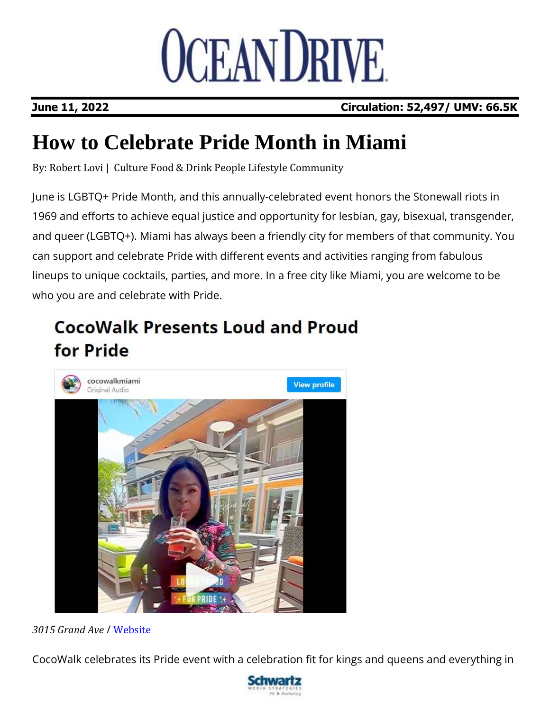

## **June 11, 2022 Circulation: 52,497/ UMV: 66.5K**

## **How to Celebrate Pride Month in Miami**

By: [Robert](https://oceandrive.com/blogs/tag/robert-lovi) Lovi | [Culture](https://oceandrive.com/blogs/category/Culture) Food & [Drink](https://oceandrive.com/blogs/category/Food-Drink) [People](https://oceandrive.com/blogs/category/People) [Lifestyle](https://oceandrive.com/blogs/category/Lifestyle) [Community](https://oceandrive.com/blogs/category/Community)

June is LGBTQ+ Pride Month, and this annually-celebrated event honors the Stonewall riots in 1969 and efforts to achieve equal justice and opportunity for lesbian, gay, bisexual, transgender, and queer (LGBTQ+). Miami has always been a friendly city for members of that community. You can support and celebrate Pride with different events and activities ranging from fabulous lineups to unique cocktails, parties, and more. In a free city like Miami, you are welcome to be who you are and celebrate with Pride.

## **CocoWalk Presents Loud and Proud** for Pride



*3015 Grand Ave* / [Website](https://cocowalk.com/)

CocoWalk celebrates its Pride event with a celebration fit for kings and queens and everything in